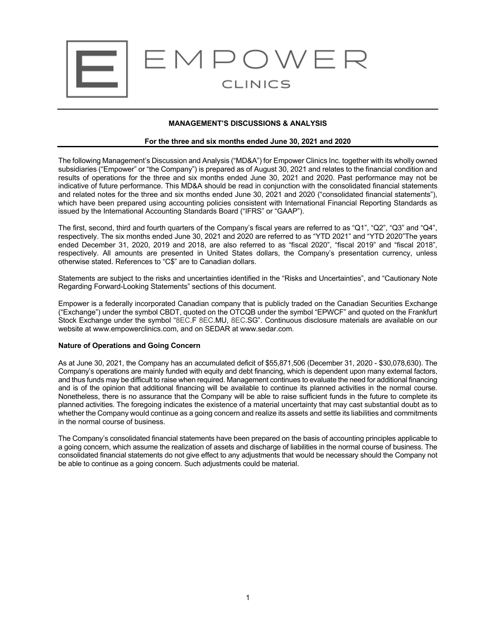

## **MANAGEMENT'S DISCUSSIONS & ANALYSIS**

#### **For the three and six months ended June 30, 2021 and 2020**

The following Management's Discussion and Analysis ("MD&A") for Empower Clinics Inc. together with its wholly owned subsidiaries ("Empower" or "the Company") is prepared as of August 30, 2021 and relates to the financial condition and results of operations for the three and six months ended June 30, 2021 and 2020. Past performance may not be indicative of future performance. This MD&A should be read in conjunction with the consolidated financial statements and related notes for the three and six months ended June 30, 2021 and 2020 ("consolidated financial statements"), which have been prepared using accounting policies consistent with International Financial Reporting Standards as issued by the International Accounting Standards Board ("IFRS" or "GAAP").

The first, second, third and fourth quarters of the Company's fiscal years are referred to as "Q1", "Q2", "Q3" and "Q4", respectively. The six months ended June 30, 2021 and 2020 are referred to as "YTD 2021" and "YTD 2020"The years ended December 31, 2020, 2019 and 2018, are also referred to as "fiscal 2020", "fiscal 2019" and "fiscal 2018", respectively. All amounts are presented in United States dollars, the Company's presentation currency, unless otherwise stated. References to "C\$" are to Canadian dollars.

Statements are subject to the risks and uncertainties identified in the "Risks and Uncertainties", and "Cautionary Note Regarding Forward-Looking Statements" sections of this document.

Empower is a federally incorporated Canadian company that is publicly traded on the Canadian Securities Exchange ("Exchange") under the symbol CBDT, quoted on the OTCQB under the symbol "EPWCF" and quoted on the Frankfurt Stock Exchange under the symbol "8EC.F 8EC.MU, 8EC.SG". Continuous disclosure materials are available on our website at www.empowerclinics.com, and on SEDAR at www.sedar.com.

#### **Nature of Operations and Going Concern**

As at June 30, 2021, the Company has an accumulated deficit of \$55,871,506 (December 31, 2020 - \$30,078,630). The Company's operations are mainly funded with equity and debt financing, which is dependent upon many external factors, and thus funds may be difficult to raise when required. Management continues to evaluate the need for additional financing and is of the opinion that additional financing will be available to continue its planned activities in the normal course. Nonetheless, there is no assurance that the Company will be able to raise sufficient funds in the future to complete its planned activities. The foregoing indicates the existence of a material uncertainty that may cast substantial doubt as to whether the Company would continue as a going concern and realize its assets and settle its liabilities and commitments in the normal course of business.

The Company's consolidated financial statements have been prepared on the basis of accounting principles applicable to a going concern, which assume the realization of assets and discharge of liabilities in the normal course of business. The consolidated financial statements do not give effect to any adjustments that would be necessary should the Company not be able to continue as a going concern. Such adjustments could be material.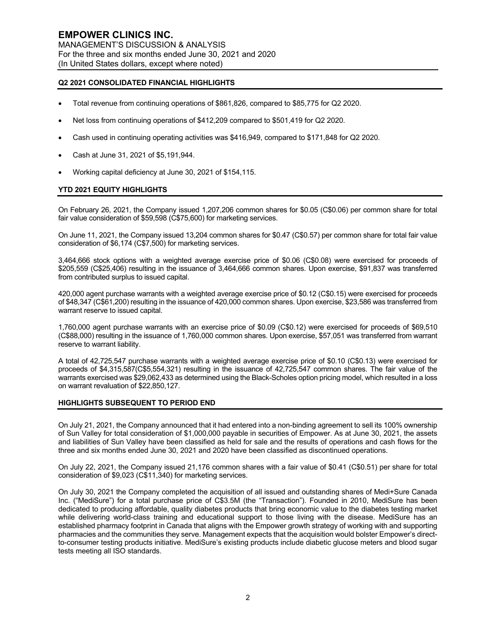# **Q2 2021 CONSOLIDATED FINANCIAL HIGHLIGHTS**

- Total revenue from continuing operations of \$861,826, compared to \$85,775 for Q2 2020.
- Net loss from continuing operations of \$412,209 compared to \$501,419 for Q2 2020.
- Cash used in continuing operating activities was \$416,949, compared to \$171,848 for Q2 2020.
- Cash at June 31, 2021 of \$5,191,944.
- Working capital deficiency at June 30, 2021 of \$154,115.

#### **YTD 2021 EQUITY HIGHLIGHTS**

On February 26, 2021, the Company issued 1,207,206 common shares for \$0.05 (C\$0.06) per common share for total fair value consideration of \$59,598 (C\$75,600) for marketing services.

On June 11, 2021, the Company issued 13,204 common shares for \$0.47 (C\$0.57) per common share for total fair value consideration of \$6,174 (C\$7,500) for marketing services.

3,464,666 stock options with a weighted average exercise price of \$0.06 (C\$0.08) were exercised for proceeds of \$205,559 (C\$25,406) resulting in the issuance of 3,464,666 common shares. Upon exercise, \$91,837 was transferred from contributed surplus to issued capital.

420,000 agent purchase warrants with a weighted average exercise price of \$0.12 (C\$0.15) were exercised for proceeds of \$48,347 (C\$61,200) resulting in the issuance of 420,000 common shares. Upon exercise, \$23,586 was transferred from warrant reserve to issued capital.

1,760,000 agent purchase warrants with an exercise price of \$0.09 (C\$0.12) were exercised for proceeds of \$69,510 (C\$88,000) resulting in the issuance of 1,760,000 common shares. Upon exercise, \$57,051 was transferred from warrant reserve to warrant liability.

A total of 42,725,547 purchase warrants with a weighted average exercise price of \$0.10 (C\$0.13) were exercised for proceeds of \$4,315,587(C\$5,554,321) resulting in the issuance of 42,725,547 common shares. The fair value of the warrants exercised was \$29,062,433 as determined using the Black-Scholes option pricing model, which resulted in a loss on warrant revaluation of \$22,850,127.

## **HIGHLIGHTS SUBSEQUENT TO PERIOD END**

On July 21, 2021, the Company announced that it had entered into a non-binding agreement to sell its 100% ownership of Sun Valley for total consideration of \$1,000,000 payable in securities of Empower. As at June 30, 2021, the assets and liabilities of Sun Valley have been classified as held for sale and the results of operations and cash flows for the three and six months ended June 30, 2021 and 2020 have been classified as discontinued operations.

On July 22, 2021, the Company issued 21,176 common shares with a fair value of \$0.41 (C\$0.51) per share for total consideration of \$9,023 (C\$11,340) for marketing services.

On July 30, 2021 the Company completed the acquisition of all issued and outstanding shares of Medi+Sure Canada Inc. ("MediSure") for a total purchase price of C\$3.5M (the "Transaction"). Founded in 2010, MediSure has been dedicated to producing affordable, quality diabetes products that bring economic value to the diabetes testing market while delivering world-class training and educational support to those living with the disease. MediSure has an established pharmacy footprint in Canada that aligns with the Empower growth strategy of working with and supporting pharmacies and the communities they serve. Management expects that the acquisition would bolster Empower's directto-consumer testing products initiative. MediSure's existing products include diabetic glucose meters and blood sugar tests meeting all ISO standards.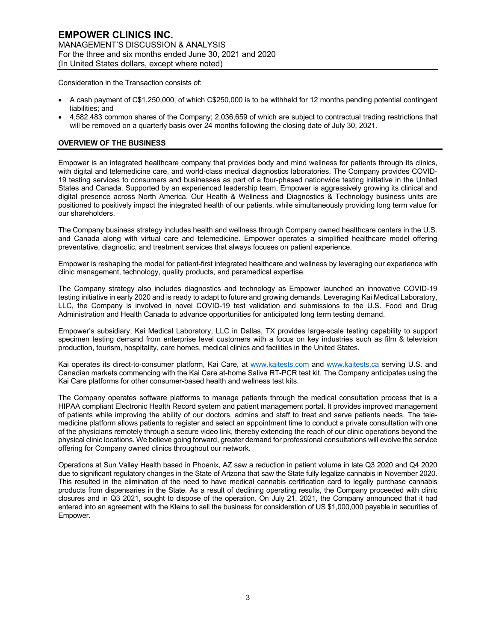Consideration in the Transaction consists of:

- A cash payment of C\$1,250,000, of which C\$250,000 is to be withheld for 12 months pending potential contingent liabilities; and
- 4,582,483 common shares of the Company; 2,036,659 of which are subject to contractual trading restrictions that will be removed on a quarterly basis over 24 months following the closing date of July 30, 2021.

# **OVERVIEW OF THE BUSINESS**

Empower is an integrated healthcare company that provides body and mind wellness for patients through its clinics, with digital and telemedicine care, and world-class medical diagnostics laboratories. The Company provides COVID-19 testing services to consumers and businesses as part of a four-phased nationwide testing initiative in the United States and Canada. Supported by an experienced leadership team, Empower is aggressively growing its clinical and digital presence across North America. Our Health & Wellness and Diagnostics & Technology business units are positioned to positively impact the integrated health of our patients, while simultaneously providing long term value for our shareholders.

The Company business strategy includes health and wellness through Company owned healthcare centers in the U.S. and Canada along with virtual care and telemedicine. Empower operates a simplified healthcare model offering preventative, diagnostic, and treatment services that always focuses on patient experience.

Empower is reshaping the model for patient-first integrated healthcare and wellness by leveraging our experience with clinic management, technology, quality products, and paramedical expertise.

The Company strategy also includes diagnostics and technology as Empower launched an innovative COVID-19 testing initiative in early 2020 and is ready to adapt to future and growing demands. Leveraging Kai Medical Laboratory, LLC, the Company is involved in novel COVID-19 test validation and submissions to the U.S. Food and Drug Administration and Health Canada to advance opportunities for anticipated long term testing demand.

Empower's subsidiary, Kai Medical Laboratory, LLC in Dallas, TX provides large-scale testing capability to support specimen testing demand from enterprise level customers with a focus on key industries such as film & television production, tourism, hospitality, care homes, medical clinics and facilities in the United States.

Kai operates its direct-to-consumer platform, Kai Care, at www.kaitests.com and www.kaitests.ca serving U.S. and Canadian markets commencing with the Kai Care at-home Saliva RT-PCR test kit. The Company anticipates using the Kai Care platforms for other consumer-based health and wellness test kits.

The Company operates software platforms to manage patients through the medical consultation process that is a HIPAA compliant Electronic Health Record system and patient management portal. It provides improved management of patients while improving the ability of our doctors, admins and staff to treat and serve patients needs. The telemedicine platform allows patients to register and select an appointment time to conduct a private consultation with one of the physicians remotely through a secure video link, thereby extending the reach of our clinic operations beyond the physical clinic locations. We believe going forward, greater demand for professional consultations will evolve the service offering for Company owned clinics throughout our network.

Operations at Sun Valley Health based in Phoenix, AZ saw a reduction in patient volume in late Q3 2020 and Q4 2020 due to significant regulatory changes in the State of Arizona that saw the State fully legalize cannabis in November 2020. This resulted in the elimination of the need to have medical cannabis certification card to legally purchase cannabis products from dispensaries in the State. As a result of declining operating results, the Company proceeded with clinic closures and in Q3 2021, sought to dispose of the operation. On July 21, 2021, the Company announced that it had entered into an agreement with the Kleins to sell the business for consideration of US \$1,000,000 payable in securities of Empower.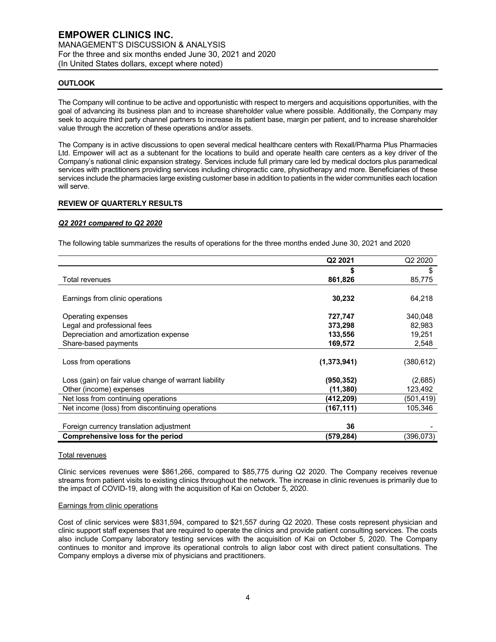## **OUTLOOK**

The Company will continue to be active and opportunistic with respect to mergers and acquisitions opportunities, with the goal of advancing its business plan and to increase shareholder value where possible. Additionally, the Company may seek to acquire third party channel partners to increase its patient base, margin per patient, and to increase shareholder value through the accretion of these operations and/or assets.

The Company is in active discussions to open several medical healthcare centers with Rexall/Pharma Plus Pharmacies Ltd. Empower will act as a subtenant for the locations to build and operate health care centers as a key driver of the Company's national clinic expansion strategy. Services include full primary care led by medical doctors plus paramedical services with practitioners providing services including chiropractic care, physiotherapy and more. Beneficiaries of these services include the pharmacies large existing customer base in addition to patients in the wider communities each location will serve.

#### **REVIEW OF QUARTERLY RESULTS**

#### *Q2 2021 compared to Q2 2020*

The following table summarizes the results of operations for the three months ended June 30, 2021 and 2020

|                                                       | Q <sub>2</sub> 2021 | Q <sub>2</sub> 2020 |
|-------------------------------------------------------|---------------------|---------------------|
|                                                       |                     | \$                  |
| Total revenues                                        | 861,826             | 85,775              |
|                                                       |                     |                     |
| Earnings from clinic operations                       | 30,232              | 64,218              |
| Operating expenses                                    | 727,747             | 340,048             |
| Legal and professional fees                           | 373,298             | 82,983              |
| Depreciation and amortization expense                 | 133,556             | 19,251              |
| Share-based payments                                  | 169,572             | 2,548               |
| Loss from operations                                  | (1,373,941)         | (380,612)           |
| Loss (gain) on fair value change of warrant liability | (950, 352)          | (2,685)             |
| Other (income) expenses                               | (11,380)            | 123,492             |
| Net loss from continuing operations                   | (412,209)           | (501,419)           |
| Net income (loss) from discontinuing operations       | (167,111)           | 105,346             |
|                                                       |                     |                     |
| Foreign currency translation adjustment               | 36                  |                     |
| Comprehensive loss for the period                     | (579,284)           | (396,073)           |

#### Total revenues

Clinic services revenues were \$861,266, compared to \$85,775 during Q2 2020. The Company receives revenue streams from patient visits to existing clinics throughout the network. The increase in clinic revenues is primarily due to the impact of COVID-19, along with the acquisition of Kai on October 5, 2020.

#### Earnings from clinic operations

Cost of clinic services were \$831,594, compared to \$21,557 during Q2 2020. These costs represent physician and clinic support staff expenses that are required to operate the clinics and provide patient consulting services. The costs also include Company laboratory testing services with the acquisition of Kai on October 5, 2020. The Company continues to monitor and improve its operational controls to align labor cost with direct patient consultations. The Company employs a diverse mix of physicians and practitioners.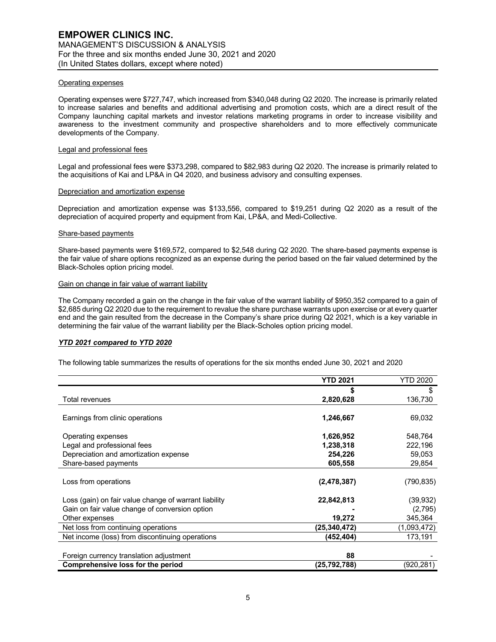#### Operating expenses

Operating expenses were \$727,747, which increased from \$340,048 during Q2 2020. The increase is primarily related to increase salaries and benefits and additional advertising and promotion costs, which are a direct result of the Company launching capital markets and investor relations marketing programs in order to increase visibility and awareness to the investment community and prospective shareholders and to more effectively communicate developments of the Company.

#### Legal and professional fees

Legal and professional fees were \$373,298, compared to \$82,983 during Q2 2020. The increase is primarily related to the acquisitions of Kai and LP&A in Q4 2020, and business advisory and consulting expenses.

## Depreciation and amortization expense

Depreciation and amortization expense was \$133,556, compared to \$19,251 during Q2 2020 as a result of the depreciation of acquired property and equipment from Kai, LP&A, and Medi-Collective.

#### Share-based payments

Share-based payments were \$169,572, compared to \$2,548 during Q2 2020. The share-based payments expense is the fair value of share options recognized as an expense during the period based on the fair valued determined by the Black-Scholes option pricing model.

#### Gain on change in fair value of warrant liability

The Company recorded a gain on the change in the fair value of the warrant liability of \$950,352 compared to a gain of \$2,685 during Q2 2020 due to the requirement to revalue the share purchase warrants upon exercise or at every quarter end and the gain resulted from the decrease in the Company's share price during Q2 2021, which is a key variable in determining the fair value of the warrant liability per the Black-Scholes option pricing model.

#### *YTD 2021 compared to YTD 2020*

The following table summarizes the results of operations for the six months ended June 30, 2021 and 2020

|                                                       | <b>YTD 2021</b> | <b>YTD 2020</b> |
|-------------------------------------------------------|-----------------|-----------------|
|                                                       |                 | \$              |
| Total revenues                                        | 2,820,628       | 136,730         |
| Earnings from clinic operations                       | 1,246,667       | 69,032          |
| Operating expenses                                    | 1,626,952       | 548,764         |
| Legal and professional fees                           | 1,238,318       | 222,196         |
| Depreciation and amortization expense                 | 254,226         | 59,053          |
| Share-based payments                                  | 605,558         | 29,854          |
| Loss from operations                                  | (2,478,387)     | (790, 835)      |
| Loss (gain) on fair value change of warrant liability | 22,842,813      | (39, 932)       |
| Gain on fair value change of conversion option        |                 | (2,795)         |
| Other expenses                                        | 19,272          | 345,364         |
| Net loss from continuing operations                   | (25.340,472)    | (1,093,472)     |
| Net income (loss) from discontinuing operations       | (452,404)       | 173,191         |
| Foreign currency translation adjustment               | 88              |                 |
| Comprehensive loss for the period                     | (25,792,788)    | (920,281)       |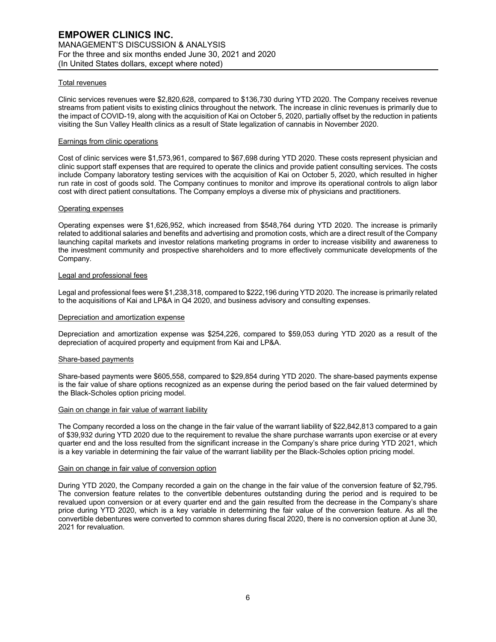## Total revenues

Clinic services revenues were \$2,820,628, compared to \$136,730 during YTD 2020. The Company receives revenue streams from patient visits to existing clinics throughout the network. The increase in clinic revenues is primarily due to the impact of COVID-19, along with the acquisition of Kai on October 5, 2020, partially offset by the reduction in patients visiting the Sun Valley Health clinics as a result of State legalization of cannabis in November 2020.

#### Earnings from clinic operations

Cost of clinic services were \$1,573,961, compared to \$67,698 during YTD 2020. These costs represent physician and clinic support staff expenses that are required to operate the clinics and provide patient consulting services. The costs include Company laboratory testing services with the acquisition of Kai on October 5, 2020, which resulted in higher run rate in cost of goods sold. The Company continues to monitor and improve its operational controls to align labor cost with direct patient consultations. The Company employs a diverse mix of physicians and practitioners.

#### Operating expenses

Operating expenses were \$1,626,952, which increased from \$548,764 during YTD 2020. The increase is primarily related to additional salaries and benefits and advertising and promotion costs, which are a direct result of the Company launching capital markets and investor relations marketing programs in order to increase visibility and awareness to the investment community and prospective shareholders and to more effectively communicate developments of the Company.

#### Legal and professional fees

Legal and professional fees were \$1,238,318, compared to \$222,196 during YTD 2020. The increase is primarily related to the acquisitions of Kai and LP&A in Q4 2020, and business advisory and consulting expenses.

## Depreciation and amortization expense

Depreciation and amortization expense was \$254,226, compared to \$59,053 during YTD 2020 as a result of the depreciation of acquired property and equipment from Kai and LP&A.

#### Share-based payments

Share-based payments were \$605,558, compared to \$29,854 during YTD 2020. The share-based payments expense is the fair value of share options recognized as an expense during the period based on the fair valued determined by the Black-Scholes option pricing model.

#### Gain on change in fair value of warrant liability

The Company recorded a loss on the change in the fair value of the warrant liability of \$22,842,813 compared to a gain of \$39,932 during YTD 2020 due to the requirement to revalue the share purchase warrants upon exercise or at every quarter end and the loss resulted from the significant increase in the Company's share price during YTD 2021, which is a key variable in determining the fair value of the warrant liability per the Black-Scholes option pricing model.

#### Gain on change in fair value of conversion option

During YTD 2020, the Company recorded a gain on the change in the fair value of the conversion feature of \$2,795. The conversion feature relates to the convertible debentures outstanding during the period and is required to be revalued upon conversion or at every quarter end and the gain resulted from the decrease in the Company's share price during YTD 2020, which is a key variable in determining the fair value of the conversion feature. As all the convertible debentures were converted to common shares during fiscal 2020, there is no conversion option at June 30, 2021 for revaluation.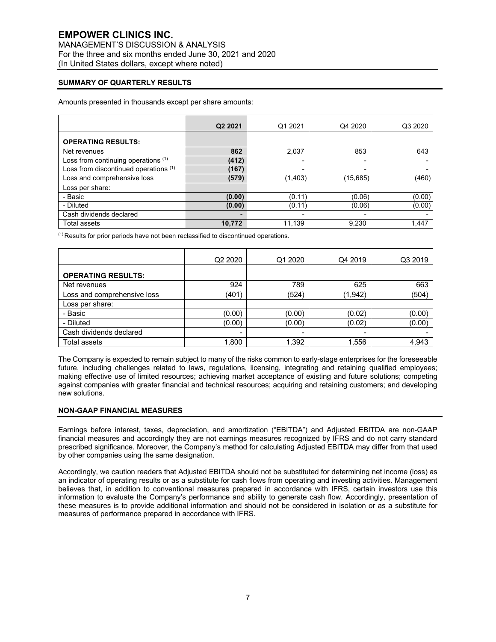# **EMPOWER CLINICS INC.**

MANAGEMENT'S DISCUSSION & ANALYSIS For the three and six months ended June 30, 2021 and 2020 (In United States dollars, except where noted)

# **SUMMARY OF QUARTERLY RESULTS**

Amounts presented in thousands except per share amounts:

|                                       | Q2 2021 | Q1 2021  | Q4 2020                  | Q3 2020 |
|---------------------------------------|---------|----------|--------------------------|---------|
| <b>OPERATING RESULTS:</b>             |         |          |                          |         |
| Net revenues                          | 862     | 2,037    | 853                      | 643     |
| Loss from continuing operations (1)   | (412)   |          | -                        |         |
| Loss from discontinued operations (1) | (167)   |          |                          |         |
| Loss and comprehensive loss           | (579)   | (1, 403) | (15,685)                 | (460)   |
| Loss per share:                       |         |          |                          |         |
| - Basic                               | (0.00)  | (0.11)   | (0.06)                   | (0.00)  |
| - Diluted                             | (0.00)  | (0.11)   | (0.06)                   | (0.00)  |
| Cash dividends declared               | -       |          | $\overline{\phantom{a}}$ |         |
| <b>Total assets</b>                   | 10,772  | 11,139   | 9.230                    | 1,447   |

(1) Results for prior periods have not been reclassified to discontinued operations.

|                             | Q <sub>2</sub> 2020      | Q1 2020 | Q4 2019  | Q3 2019 |
|-----------------------------|--------------------------|---------|----------|---------|
| <b>OPERATING RESULTS:</b>   |                          |         |          |         |
| Net revenues                | 924                      | 789     | 625      | 663     |
| Loss and comprehensive loss | (401)                    | (524)   | (1, 942) | (504)   |
| Loss per share:             |                          |         |          |         |
| - Basic                     | (0.00)                   | (0.00)  | (0.02)   | (0.00)  |
| - Diluted                   | (0.00)                   | (0.00)  | (0.02)   | (0.00)  |
| Cash dividends declared     | $\overline{\phantom{a}}$ |         | ۰        |         |
| Total assets                | 1,800                    | 1,392   | 1,556    | 4,943   |

The Company is expected to remain subject to many of the risks common to early-stage enterprises for the foreseeable future, including challenges related to laws, regulations, licensing, integrating and retaining qualified employees; making effective use of limited resources; achieving market acceptance of existing and future solutions; competing against companies with greater financial and technical resources; acquiring and retaining customers; and developing new solutions.

## **NON-GAAP FINANCIAL MEASURES**

Earnings before interest, taxes, depreciation, and amortization ("EBITDA") and Adjusted EBITDA are non-GAAP financial measures and accordingly they are not earnings measures recognized by IFRS and do not carry standard prescribed significance. Moreover, the Company's method for calculating Adjusted EBITDA may differ from that used by other companies using the same designation.

Accordingly, we caution readers that Adjusted EBITDA should not be substituted for determining net income (loss) as an indicator of operating results or as a substitute for cash flows from operating and investing activities. Management believes that, in addition to conventional measures prepared in accordance with IFRS, certain investors use this information to evaluate the Company's performance and ability to generate cash flow. Accordingly, presentation of these measures is to provide additional information and should not be considered in isolation or as a substitute for measures of performance prepared in accordance with IFRS.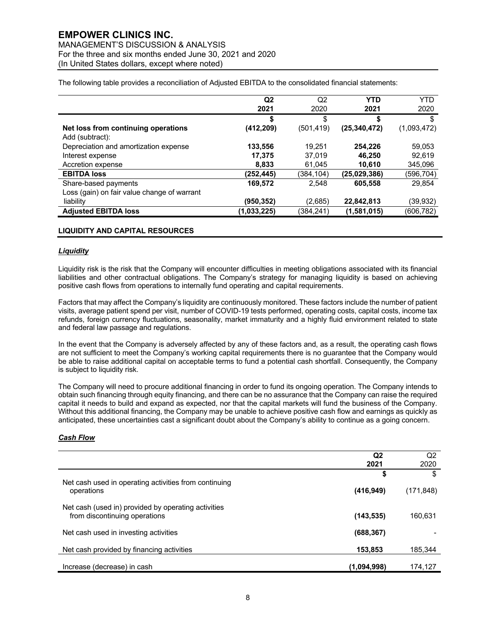# **EMPOWER CLINICS INC.**

MANAGEMENT'S DISCUSSION & ANALYSIS For the three and six months ended June 30, 2021 and 2020 (In United States dollars, except where noted)

The following table provides a reconciliation of Adjusted EBITDA to the consolidated financial statements:

|                                             | Q <sub>2</sub> | Q <sub>2</sub> | <b>YTD</b>     | <b>YTD</b>  |
|---------------------------------------------|----------------|----------------|----------------|-------------|
|                                             | 2021           | 2020           | 2021           | 2020        |
|                                             | S              | \$             | S              | S           |
| Net loss from continuing operations         | (412, 209)     | (501, 419)     | (25, 340, 472) | (1,093,472) |
| Add (subtract):                             |                |                |                |             |
| Depreciation and amortization expense       | 133,556        | 19.251         | 254.226        | 59,053      |
| Interest expense                            | 17,375         | 37,019         | 46.250         | 92,619      |
| Accretion expense                           | 8.833          | 61,045         | 10.610         | 345,096     |
| <b>EBITDA loss</b>                          | (252,445)      | (384,104)      | (25,029,386)   | (596,704)   |
| Share-based payments                        | 169,572        | 2.548          | 605,558        | 29.854      |
| Loss (gain) on fair value change of warrant |                |                |                |             |
| liability                                   | (950, 352)     | (2,685)        | 22,842,813     | (39,932)    |
| <b>Adjusted EBITDA loss</b>                 | (1,033,225)    | (384,241)      | (1,581,015)    | (606,782)   |

## **LIQUIDITY AND CAPITAL RESOURCES**

#### *Liquidity*

Liquidity risk is the risk that the Company will encounter difficulties in meeting obligations associated with its financial liabilities and other contractual obligations. The Company's strategy for managing liquidity is based on achieving positive cash flows from operations to internally fund operating and capital requirements.

Factors that may affect the Company's liquidity are continuously monitored. These factors include the number of patient visits, average patient spend per visit, number of COVID-19 tests performed, operating costs, capital costs, income tax refunds, foreign currency fluctuations, seasonality, market immaturity and a highly fluid environment related to state and federal law passage and regulations.

In the event that the Company is adversely affected by any of these factors and, as a result, the operating cash flows are not sufficient to meet the Company's working capital requirements there is no guarantee that the Company would be able to raise additional capital on acceptable terms to fund a potential cash shortfall. Consequently, the Company is subject to liquidity risk.

The Company will need to procure additional financing in order to fund its ongoing operation. The Company intends to obtain such financing through equity financing, and there can be no assurance that the Company can raise the required capital it needs to build and expand as expected, nor that the capital markets will fund the business of the Company. Without this additional financing, the Company may be unable to achieve positive cash flow and earnings as quickly as anticipated, these uncertainties cast a significant doubt about the Company's ability to continue as a going concern.

## *Cash Flow*

|                                                                                      | Q <sub>2</sub> | Q2         |
|--------------------------------------------------------------------------------------|----------------|------------|
|                                                                                      | 2021           | 2020       |
| Net cash used in operating activities from continuing                                | \$             | S          |
| operations                                                                           | (416, 949)     | (171, 848) |
| Net cash (used in) provided by operating activities<br>from discontinuing operations | (143, 535)     | 160,631    |
| Net cash used in investing activities                                                | (688, 367)     |            |
| Net cash provided by financing activities                                            | 153.853        | 185,344    |
| Increase (decrease) in cash                                                          | (1,094,998)    | 174,127    |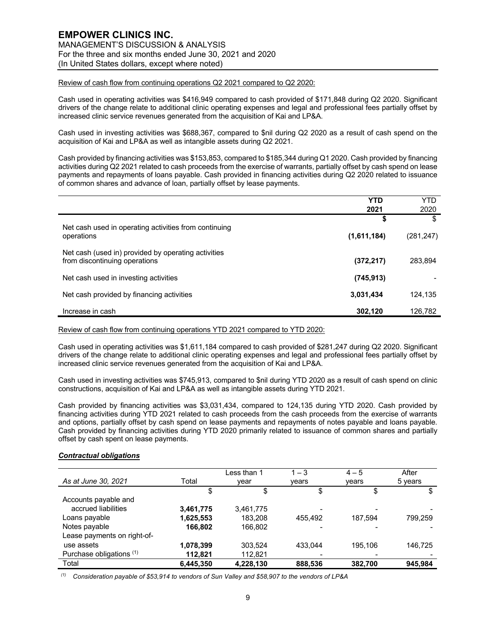Review of cash flow from continuing operations Q2 2021 compared to Q2 2020:

Cash used in operating activities was \$416,949 compared to cash provided of \$171,848 during Q2 2020. Significant drivers of the change relate to additional clinic operating expenses and legal and professional fees partially offset by increased clinic service revenues generated from the acquisition of Kai and LP&A.

Cash used in investing activities was \$688,367, compared to \$nil during Q2 2020 as a result of cash spend on the acquisition of Kai and LP&A as well as intangible assets during Q2 2021.

Cash provided by financing activities was \$153,853, compared to \$185,344 during Q1 2020. Cash provided by financing activities during Q2 2021 related to cash proceeds from the exercise of warrants, partially offset by cash spend on lease payments and repayments of loans payable. Cash provided in financing activities during Q2 2020 related to issuance of common shares and advance of loan, partially offset by lease payments.

|                                                                                      | <b>YTD</b>  | YTD        |
|--------------------------------------------------------------------------------------|-------------|------------|
|                                                                                      | 2021        | 2020       |
| Net cash used in operating activities from continuing                                | S           | \$         |
| operations                                                                           | (1,611,184) | (281, 247) |
| Net cash (used in) provided by operating activities<br>from discontinuing operations | (372, 217)  | 283,894    |
| Net cash used in investing activities                                                | (745, 913)  |            |
| Net cash provided by financing activities                                            | 3,031,434   | 124.135    |
| Increase in cash                                                                     | 302,120     | 126,782    |

Review of cash flow from continuing operations YTD 2021 compared to YTD 2020:

Cash used in operating activities was \$1,611,184 compared to cash provided of \$281,247 during Q2 2020. Significant drivers of the change relate to additional clinic operating expenses and legal and professional fees partially offset by increased clinic service revenues generated from the acquisition of Kai and LP&A.

Cash used in investing activities was \$745,913, compared to \$nil during YTD 2020 as a result of cash spend on clinic constructions, acquisition of Kai and LP&A as well as intangible assets during YTD 2021.

Cash provided by financing activities was \$3,031,434, compared to 124,135 during YTD 2020. Cash provided by financing activities during YTD 2021 related to cash proceeds from the cash proceeds from the exercise of warrants and options, partially offset by cash spend on lease payments and repayments of notes payable and loans payable. Cash provided by financing activities during YTD 2020 primarily related to issuance of common shares and partially offset by cash spent on lease payments.

## *Contractual obligations*

| As at June 30, 2021         | Total     | Less than 1<br>vear | $1 - 3$<br>vears | $4 - 5$<br>vears | After<br>5 years |
|-----------------------------|-----------|---------------------|------------------|------------------|------------------|
|                             | \$        | \$                  | \$               | \$               |                  |
| Accounts payable and        |           |                     |                  |                  |                  |
| accrued liabilities         | 3,461,775 | 3,461,775           |                  |                  |                  |
| Loans payable               | 1,625,553 | 183.208             | 455,492          | 187.594          | 799.259          |
| Notes payable               | 166.802   | 166.802             |                  |                  |                  |
| Lease payments on right-of- |           |                     |                  |                  |                  |
| use assets                  | 1,078,399 | 303.524             | 433.044          | 195.106          | 146.725          |
| Purchase obligations (1)    | 112,821   | 112,821             |                  |                  |                  |
| Total                       | 6,445,350 | 4,228,130           | 888,536          | 382.700          | 945.984          |

*(1) Consideration payable of \$53,914 to vendors of Sun Valley and \$58,907 to the vendors of LP&A*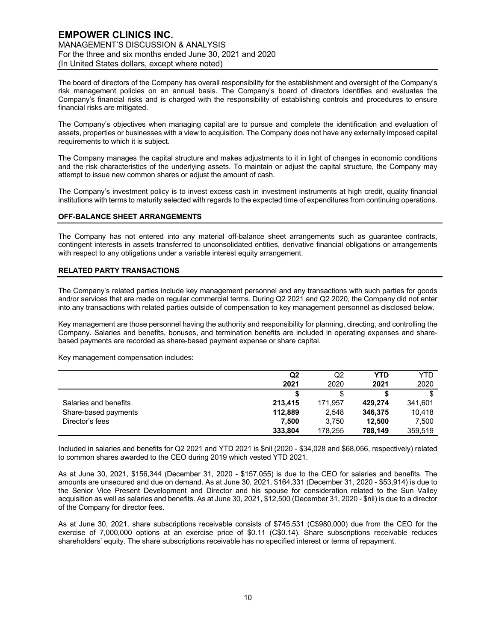The board of directors of the Company has overall responsibility for the establishment and oversight of the Company's risk management policies on an annual basis. The Company's board of directors identifies and evaluates the Company's financial risks and is charged with the responsibility of establishing controls and procedures to ensure financial risks are mitigated.

The Company's objectives when managing capital are to pursue and complete the identification and evaluation of assets, properties or businesses with a view to acquisition. The Company does not have any externally imposed capital requirements to which it is subject.

The Company manages the capital structure and makes adjustments to it in light of changes in economic conditions and the risk characteristics of the underlying assets. To maintain or adjust the capital structure, the Company may attempt to issue new common shares or adjust the amount of cash.

The Company's investment policy is to invest excess cash in investment instruments at high credit, quality financial institutions with terms to maturity selected with regards to the expected time of expenditures from continuing operations.

## **OFF-BALANCE SHEET ARRANGEMENTS**

The Company has not entered into any material off-balance sheet arrangements such as guarantee contracts, contingent interests in assets transferred to unconsolidated entities, derivative financial obligations or arrangements with respect to any obligations under a variable interest equity arrangement.

# **RELATED PARTY TRANSACTIONS**

The Company's related parties include key management personnel and any transactions with such parties for goods and/or services that are made on regular commercial terms. During Q2 2021 and Q2 2020, the Company did not enter into any transactions with related parties outside of compensation to key management personnel as disclosed below.

Key management are those personnel having the authority and responsibility for planning, directing, and controlling the Company. Salaries and benefits, bonuses, and termination benefits are included in operating expenses and sharebased payments are recorded as share-based payment expense or share capital.

Key management compensation includes:

|                       | Q2      | Q2      | <b>YTD</b> | YTD     |
|-----------------------|---------|---------|------------|---------|
|                       | 2021    | 2020    | 2021       | 2020    |
|                       |         |         |            |         |
| Salaries and benefits | 213.415 | 171.957 | 429.274    | 341,601 |
| Share-based payments  | 112.889 | 2.548   | 346,375    | 10.418  |
| Director's fees       | 7.500   | 3.750   | 12.500     | 7,500   |
|                       | 333,804 | 178.255 | 788.149    | 359.519 |

Included in salaries and benefits for Q2 2021 and YTD 2021 is \$nil (2020 - \$34,028 and \$68,056, respectively) related to common shares awarded to the CEO during 2019 which vested YTD 2021.

As at June 30, 2021, \$156,344 (December 31, 2020 - \$157,055) is due to the CEO for salaries and benefits. The amounts are unsecured and due on demand. As at June 30, 2021, \$164,331 (December 31, 2020 - \$53,914) is due to the Senior Vice Present Development and Director and his spouse for consideration related to the Sun Valley acquisition as well as salaries and benefits. As at June 30, 2021, \$12,500 (December 31, 2020 - \$nil) is due to a director of the Company for director fees.

As at June 30, 2021, share subscriptions receivable consists of \$745,531 (C\$980,000) due from the CEO for the exercise of 7,000,000 options at an exercise price of \$0.11 (C\$0.14). Share subscriptions receivable reduces shareholders' equity. The share subscriptions receivable has no specified interest or terms of repayment.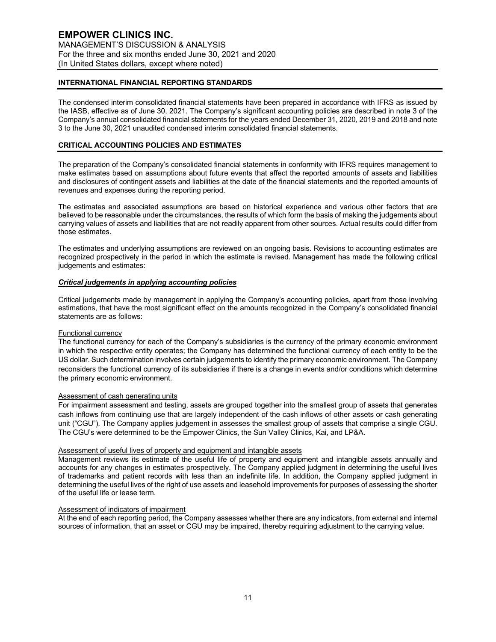# **INTERNATIONAL FINANCIAL REPORTING STANDARDS**

The condensed interim consolidated financial statements have been prepared in accordance with IFRS as issued by the IASB, effective as of June 30, 2021. The Company's significant accounting policies are described in note 3 of the Company's annual consolidated financial statements for the years ended December 31, 2020, 2019 and 2018 and note 3 to the June 30, 2021 unaudited condensed interim consolidated financial statements.

# **CRITICAL ACCOUNTING POLICIES AND ESTIMATES**

The preparation of the Company's consolidated financial statements in conformity with IFRS requires management to make estimates based on assumptions about future events that affect the reported amounts of assets and liabilities and disclosures of contingent assets and liabilities at the date of the financial statements and the reported amounts of revenues and expenses during the reporting period.

The estimates and associated assumptions are based on historical experience and various other factors that are believed to be reasonable under the circumstances, the results of which form the basis of making the judgements about carrying values of assets and liabilities that are not readily apparent from other sources. Actual results could differ from those estimates.

The estimates and underlying assumptions are reviewed on an ongoing basis. Revisions to accounting estimates are recognized prospectively in the period in which the estimate is revised. Management has made the following critical judgements and estimates:

## *Critical judgements in applying accounting policies*

Critical judgements made by management in applying the Company's accounting policies, apart from those involving estimations, that have the most significant effect on the amounts recognized in the Company's consolidated financial statements are as follows:

## Functional currency

The functional currency for each of the Company's subsidiaries is the currency of the primary economic environment in which the respective entity operates; the Company has determined the functional currency of each entity to be the US dollar. Such determination involves certain judgements to identify the primary economic environment. The Company reconsiders the functional currency of its subsidiaries if there is a change in events and/or conditions which determine the primary economic environment.

# Assessment of cash generating units

For impairment assessment and testing, assets are grouped together into the smallest group of assets that generates cash inflows from continuing use that are largely independent of the cash inflows of other assets or cash generating unit ("CGU"). The Company applies judgement in assesses the smallest group of assets that comprise a single CGU. The CGU's were determined to be the Empower Clinics, the Sun Valley Clinics, Kai, and LP&A.

#### Assessment of useful lives of property and equipment and intangible assets

Management reviews its estimate of the useful life of property and equipment and intangible assets annually and accounts for any changes in estimates prospectively. The Company applied judgment in determining the useful lives of trademarks and patient records with less than an indefinite life. In addition, the Company applied judgment in determining the useful lives of the right of use assets and leasehold improvements for purposes of assessing the shorter of the useful life or lease term.

# Assessment of indicators of impairment

At the end of each reporting period, the Company assesses whether there are any indicators, from external and internal sources of information, that an asset or CGU may be impaired, thereby requiring adjustment to the carrying value.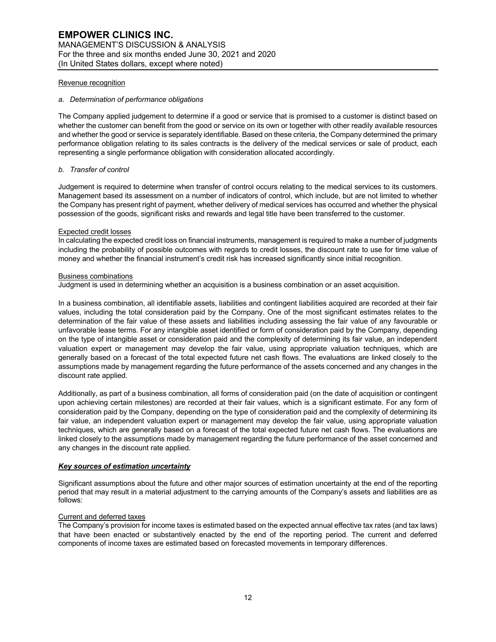## Revenue recognition

#### *a. Determination of performance obligations*

The Company applied judgement to determine if a good or service that is promised to a customer is distinct based on whether the customer can benefit from the good or service on its own or together with other readily available resources and whether the good or service is separately identifiable. Based on these criteria, the Company determined the primary performance obligation relating to its sales contracts is the delivery of the medical services or sale of product, each representing a single performance obligation with consideration allocated accordingly.

## *b. Transfer of control*

Judgement is required to determine when transfer of control occurs relating to the medical services to its customers. Management based its assessment on a number of indicators of control, which include, but are not limited to whether the Company has present right of payment, whether delivery of medical services has occurred and whether the physical possession of the goods, significant risks and rewards and legal title have been transferred to the customer.

## Expected credit losses

In calculating the expected credit loss on financial instruments, management is required to make a number of judgments including the probability of possible outcomes with regards to credit losses, the discount rate to use for time value of money and whether the financial instrument's credit risk has increased significantly since initial recognition.

## Business combinations

Judgment is used in determining whether an acquisition is a business combination or an asset acquisition.

In a business combination, all identifiable assets, liabilities and contingent liabilities acquired are recorded at their fair values, including the total consideration paid by the Company. One of the most significant estimates relates to the determination of the fair value of these assets and liabilities including assessing the fair value of any favourable or unfavorable lease terms. For any intangible asset identified or form of consideration paid by the Company, depending on the type of intangible asset or consideration paid and the complexity of determining its fair value, an independent valuation expert or management may develop the fair value, using appropriate valuation techniques, which are generally based on a forecast of the total expected future net cash flows. The evaluations are linked closely to the assumptions made by management regarding the future performance of the assets concerned and any changes in the discount rate applied.

Additionally, as part of a business combination, all forms of consideration paid (on the date of acquisition or contingent upon achieving certain milestones) are recorded at their fair values, which is a significant estimate. For any form of consideration paid by the Company, depending on the type of consideration paid and the complexity of determining its fair value, an independent valuation expert or management may develop the fair value, using appropriate valuation techniques, which are generally based on a forecast of the total expected future net cash flows. The evaluations are linked closely to the assumptions made by management regarding the future performance of the asset concerned and any changes in the discount rate applied.

## *Key sources of estimation uncertainty*

Significant assumptions about the future and other major sources of estimation uncertainty at the end of the reporting period that may result in a material adjustment to the carrying amounts of the Company's assets and liabilities are as follows:

## Current and deferred taxes

The Company's provision for income taxes is estimated based on the expected annual effective tax rates (and tax laws) that have been enacted or substantively enacted by the end of the reporting period. The current and deferred components of income taxes are estimated based on forecasted movements in temporary differences.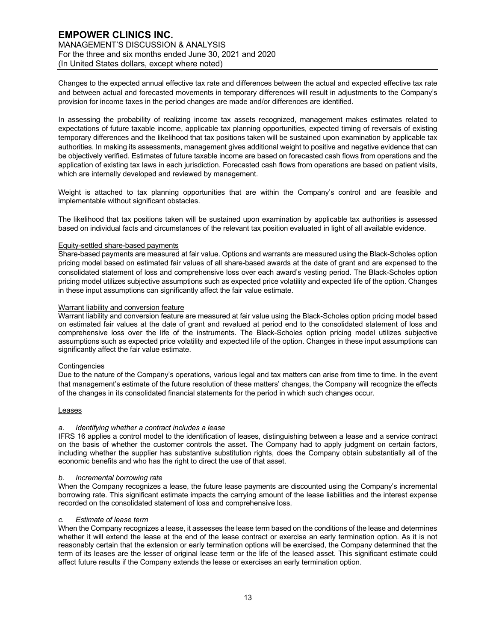Changes to the expected annual effective tax rate and differences between the actual and expected effective tax rate and between actual and forecasted movements in temporary differences will result in adjustments to the Company's provision for income taxes in the period changes are made and/or differences are identified.

In assessing the probability of realizing income tax assets recognized, management makes estimates related to expectations of future taxable income, applicable tax planning opportunities, expected timing of reversals of existing temporary differences and the likelihood that tax positions taken will be sustained upon examination by applicable tax authorities. In making its assessments, management gives additional weight to positive and negative evidence that can be objectively verified. Estimates of future taxable income are based on forecasted cash flows from operations and the application of existing tax laws in each jurisdiction. Forecasted cash flows from operations are based on patient visits, which are internally developed and reviewed by management.

Weight is attached to tax planning opportunities that are within the Company's control and are feasible and implementable without significant obstacles.

The likelihood that tax positions taken will be sustained upon examination by applicable tax authorities is assessed based on individual facts and circumstances of the relevant tax position evaluated in light of all available evidence.

#### Equity-settled share-based payments

Share-based payments are measured at fair value. Options and warrants are measured using the Black-Scholes option pricing model based on estimated fair values of all share-based awards at the date of grant and are expensed to the consolidated statement of loss and comprehensive loss over each award's vesting period. The Black-Scholes option pricing model utilizes subjective assumptions such as expected price volatility and expected life of the option. Changes in these input assumptions can significantly affect the fair value estimate.

#### Warrant liability and conversion feature

Warrant liability and conversion feature are measured at fair value using the Black-Scholes option pricing model based on estimated fair values at the date of grant and revalued at period end to the consolidated statement of loss and comprehensive loss over the life of the instruments. The Black-Scholes option pricing model utilizes subjective assumptions such as expected price volatility and expected life of the option. Changes in these input assumptions can significantly affect the fair value estimate.

# **Contingencies**

Due to the nature of the Company's operations, various legal and tax matters can arise from time to time. In the event that management's estimate of the future resolution of these matters' changes, the Company will recognize the effects of the changes in its consolidated financial statements for the period in which such changes occur.

#### Leases

#### *a. Identifying whether a contract includes a lease*

IFRS 16 applies a control model to the identification of leases, distinguishing between a lease and a service contract on the basis of whether the customer controls the asset. The Company had to apply judgment on certain factors, including whether the supplier has substantive substitution rights, does the Company obtain substantially all of the economic benefits and who has the right to direct the use of that asset.

#### *b. Incremental borrowing rate*

When the Company recognizes a lease, the future lease payments are discounted using the Company's incremental borrowing rate. This significant estimate impacts the carrying amount of the lease liabilities and the interest expense recorded on the consolidated statement of loss and comprehensive loss.

#### *c. Estimate of lease term*

When the Company recognizes a lease, it assesses the lease term based on the conditions of the lease and determines whether it will extend the lease at the end of the lease contract or exercise an early termination option. As it is not reasonably certain that the extension or early termination options will be exercised, the Company determined that the term of its leases are the lesser of original lease term or the life of the leased asset. This significant estimate could affect future results if the Company extends the lease or exercises an early termination option.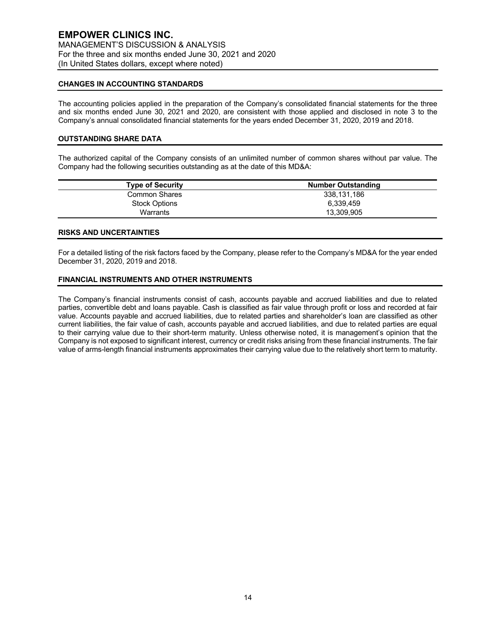## **CHANGES IN ACCOUNTING STANDARDS**

The accounting policies applied in the preparation of the Company's consolidated financial statements for the three and six months ended June 30, 2021 and 2020, are consistent with those applied and disclosed in note 3 to the Company's annual consolidated financial statements for the years ended December 31, 2020, 2019 and 2018.

## **OUTSTANDING SHARE DATA**

The authorized capital of the Company consists of an unlimited number of common shares without par value. The Company had the following securities outstanding as at the date of this MD&A:

| <b>Type of Security</b> | <b>Number Outstanding</b> |
|-------------------------|---------------------------|
| Common Shares           | 338.131.186               |
| Stock Options           | 6.339.459                 |
| Warrants                | 13,309,905                |

#### **RISKS AND UNCERTAINTIES**

For a detailed listing of the risk factors faced by the Company, please refer to the Company's MD&A for the year ended December 31, 2020, 2019 and 2018.

## **FINANCIAL INSTRUMENTS AND OTHER INSTRUMENTS**

The Company's financial instruments consist of cash, accounts payable and accrued liabilities and due to related parties, convertible debt and loans payable. Cash is classified as fair value through profit or loss and recorded at fair value. Accounts payable and accrued liabilities, due to related parties and shareholder's loan are classified as other current liabilities, the fair value of cash, accounts payable and accrued liabilities, and due to related parties are equal to their carrying value due to their short-term maturity. Unless otherwise noted, it is management's opinion that the Company is not exposed to significant interest, currency or credit risks arising from these financial instruments. The fair value of arms-length financial instruments approximates their carrying value due to the relatively short term to maturity.